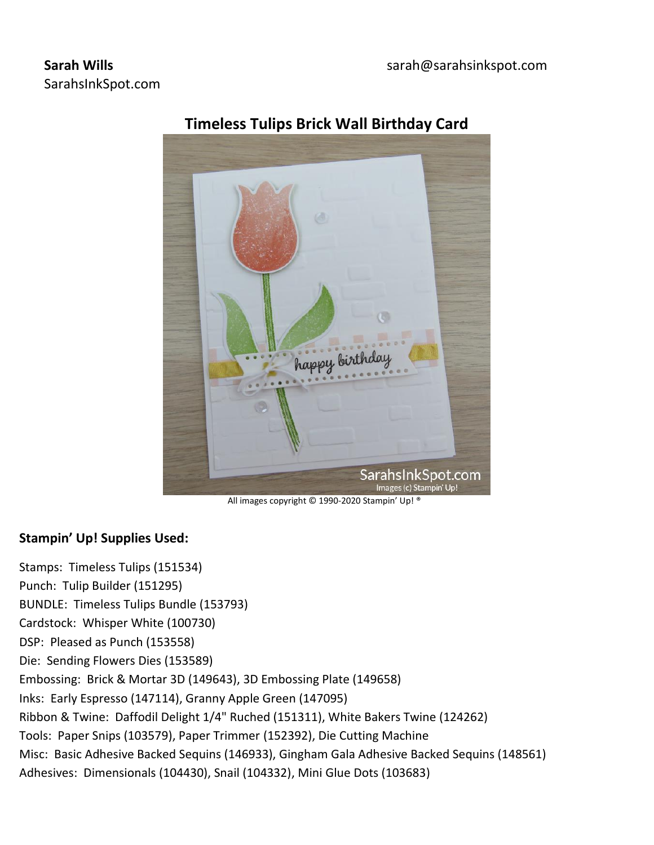## **Sarah Wills** SarahsInkSpot.com



# **Timeless Tulips Brick Wall Birthday Card**

All images copyright © 1990-2020 Stampin' Up! ®

## **Stampin' Up! Supplies Used:**

Stamps: Timeless Tulips (151534) Punch: Tulip Builder (151295) BUNDLE: Timeless Tulips Bundle (153793) Cardstock: Whisper White (100730) DSP: Pleased as Punch (153558) Die: Sending Flowers Dies (153589) Embossing: Brick & Mortar 3D (149643), 3D Embossing Plate (149658) Inks: Early Espresso (147114), Granny Apple Green (147095) Ribbon & Twine: Daffodil Delight 1/4" Ruched (151311), White Bakers Twine (124262) Tools: Paper Snips (103579), Paper Trimmer (152392), Die Cutting Machine Misc: Basic Adhesive Backed Sequins (146933), Gingham Gala Adhesive Backed Sequins (148561) Adhesives: Dimensionals (104430), Snail (104332), Mini Glue Dots (103683)